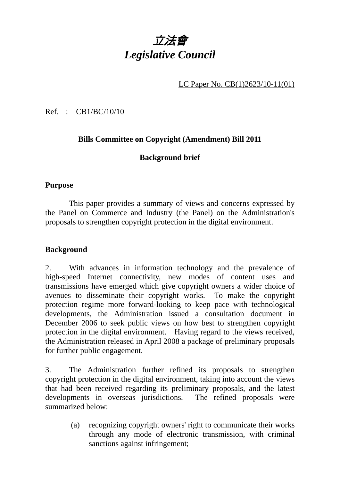# 立法會 *Legislative Council*

LC Paper No. CB(1)2623/10-11(01)

Ref. : CB1/BC/10/10

# **Bills Committee on Copyright (Amendment) Bill 2011**

# **Background brief**

#### **Purpose**

 This paper provides a summary of views and concerns expressed by the Panel on Commerce and Industry (the Panel) on the Administration's proposals to strengthen copyright protection in the digital environment.

### **Background**

2. With advances in information technology and the prevalence of high-speed Internet connectivity, new modes of content uses and transmissions have emerged which give copyright owners a wider choice of avenues to disseminate their copyright works. To make the copyright protection regime more forward-looking to keep pace with technological developments, the Administration issued a consultation document in December 2006 to seek public views on how best to strengthen copyright protection in the digital environment. Having regard to the views received, the Administration released in April 2008 a package of preliminary proposals for further public engagement.

3. The Administration further refined its proposals to strengthen copyright protection in the digital environment, taking into account the views that had been received regarding its preliminary proposals, and the latest developments in overseas jurisdictions. The refined proposals were summarized below:

> (a) recognizing copyright owners' right to communicate their works through any mode of electronic transmission, with criminal sanctions against infringement;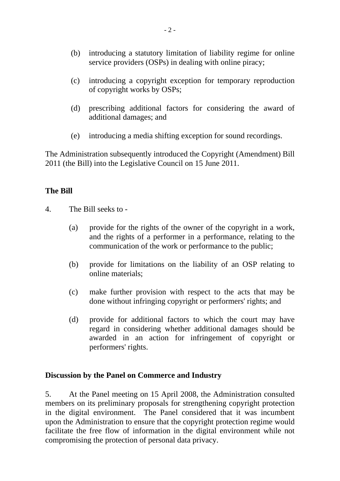- (b) introducing a statutory limitation of liability regime for online service providers (OSPs) in dealing with online piracy;
- (c) introducing a copyright exception for temporary reproduction of copyright works by OSPs;
- (d) prescribing additional factors for considering the award of additional damages; and
- (e) introducing a media shifting exception for sound recordings.

The Administration subsequently introduced the Copyright (Amendment) Bill 2011 (the Bill) into the Legislative Council on 15 June 2011.

## **The Bill**

- 4. The Bill seeks to
	- (a) provide for the rights of the owner of the copyright in a work, and the rights of a performer in a performance, relating to the communication of the work or performance to the public;
	- (b) provide for limitations on the liability of an OSP relating to online materials;
	- (c) make further provision with respect to the acts that may be done without infringing copyright or performers' rights; and
	- (d) provide for additional factors to which the court may have regard in considering whether additional damages should be awarded in an action for infringement of copyright or performers' rights.

#### **Discussion by the Panel on Commerce and Industry**

5. At the Panel meeting on 15 April 2008, the Administration consulted members on its preliminary proposals for strengthening copyright protection in the digital environment. The Panel considered that it was incumbent upon the Administration to ensure that the copyright protection regime would facilitate the free flow of information in the digital environment while not compromising the protection of personal data privacy.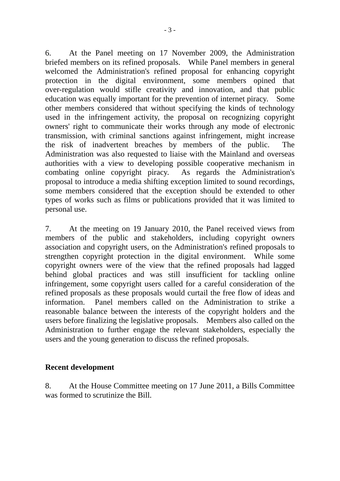6. At the Panel meeting on 17 November 2009, the Administration briefed members on its refined proposals. While Panel members in general welcomed the Administration's refined proposal for enhancing copyright protection in the digital environment, some members opined that over-regulation would stifle creativity and innovation, and that public education was equally important for the prevention of internet piracy. Some other members considered that without specifying the kinds of technology used in the infringement activity, the proposal on recognizing copyright owners' right to communicate their works through any mode of electronic transmission, with criminal sanctions against infringement, might increase the risk of inadvertent breaches by members of the public. The Administration was also requested to liaise with the Mainland and overseas authorities with a view to developing possible cooperative mechanism in combating online copyright piracy. As regards the Administration's proposal to introduce a media shifting exception limited to sound recordings, some members considered that the exception should be extended to other types of works such as films or publications provided that it was limited to personal use.

7. At the meeting on 19 January 2010, the Panel received views from members of the public and stakeholders, including copyright owners association and copyright users, on the Administration's refined proposals to strengthen copyright protection in the digital environment. While some copyright owners were of the view that the refined proposals had lagged behind global practices and was still insufficient for tackling online infringement, some copyright users called for a careful consideration of the refined proposals as these proposals would curtail the free flow of ideas and information. Panel members called on the Administration to strike a reasonable balance between the interests of the copyright holders and the users before finalizing the legislative proposals. Members also called on the Administration to further engage the relevant stakeholders, especially the users and the young generation to discuss the refined proposals.

#### **Recent development**

8. At the House Committee meeting on 17 June 2011, a Bills Committee was formed to scrutinize the Bill.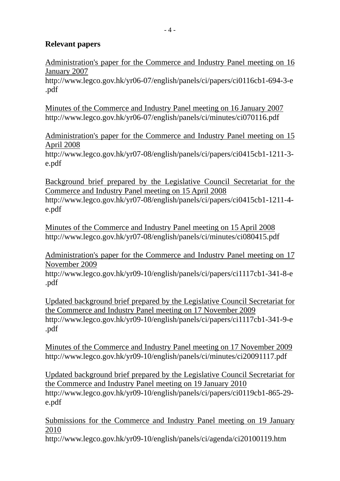## **Relevant papers**

Administration's paper for the Commerce and Industry Panel meeting on 16 January 2007

http://www.legco.gov.hk/yr06-07/english/panels/ci/papers/ci0116cb1-694-3-e .pdf

Minutes of the Commerce and Industry Panel meeting on 16 January 2007 http://www.legco.gov.hk/yr06-07/english/panels/ci/minutes/ci070116.pdf

Administration's paper for the Commerce and Industry Panel meeting on 15 April 2008

http://www.legco.gov.hk/yr07-08/english/panels/ci/papers/ci0415cb1-1211-3 e.pdf

Background brief prepared by the Legislative Council Secretariat for the Commerce and Industry Panel meeting on 15 April 2008 http://www.legco.gov.hk/yr07-08/english/panels/ci/papers/ci0415cb1-1211-4 e.pdf

Minutes of the Commerce and Industry Panel meeting on 15 April 2008 http://www.legco.gov.hk/yr07-08/english/panels/ci/minutes/ci080415.pdf

Administration's paper for the Commerce and Industry Panel meeting on 17 November 2009

http://www.legco.gov.hk/yr09-10/english/panels/ci/papers/ci1117cb1-341-8-e .pdf

Updated background brief prepared by the Legislative Council Secretariat for the Commerce and Industry Panel meeting on 17 November 2009 http://www.legco.gov.hk/yr09-10/english/panels/ci/papers/ci1117cb1-341-9-e .pdf

Minutes of the Commerce and Industry Panel meeting on 17 November 2009 http://www.legco.gov.hk/yr09-10/english/panels/ci/minutes/ci20091117.pdf

Updated background brief prepared by the Legislative Council Secretariat for the Commerce and Industry Panel meeting on 19 January 2010 http://www.legco.gov.hk/yr09-10/english/panels/ci/papers/ci0119cb1-865-29 e.pdf

Submissions for the Commerce and Industry Panel meeting on 19 January 2010

http://www.legco.gov.hk/yr09-10/english/panels/ci/agenda/ci20100119.htm